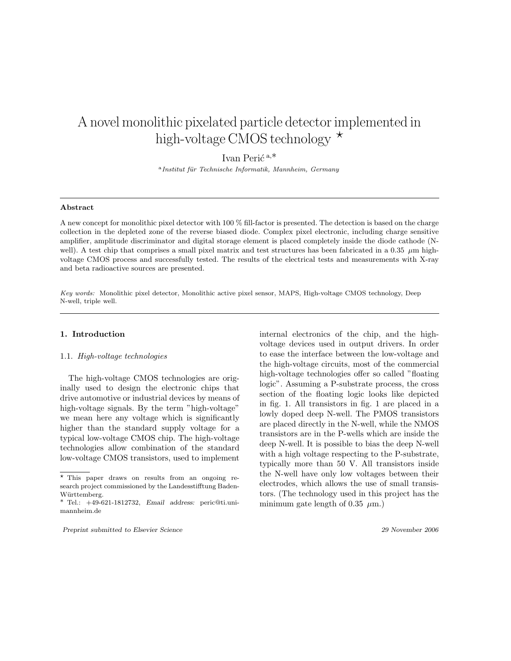# A novel monolithic pixelated particle detectorimplemented in high-voltage CMOS technology  $\star$

Ivan Perić<sup>a,\*</sup>

<sup>a</sup> Institut für Technische Informatik, Mannheim, Germany

#### Abstract

A new concept for monolithic pixel detector with 100 % fill-factor is presented. The detection is based on the charge collection in the depleted zone of the reverse biased diode. Complex pixel electronic, including charge sensitive amplifier, amplitude discriminator and digital storage element is placed completely inside the diode cathode (Nwell). A test chip that comprises a small pixel matrix and test structures has been fabricated in a 0.35  $\mu$ m highvoltage CMOS process and successfully tested. The results of the electrical tests and measurements with X-ray and beta radioactive sources are presented.

Key words: Monolithic pixel detector, Monolithic active pixel sensor, MAPS, High-voltage CMOS technology, Deep N-well, triple well.

# 1. Introduction

#### 1.1. High-voltage technologies

The high-voltage CMOS technologies are originally used to design the electronic chips that drive automotive or industrial devices by means of high-voltage signals. By the term "high-voltage" we mean here any voltage which is significantly higher than the standard supply voltage for a typical low-voltage CMOS chip. The high-voltage technologies allow combination of the standard low-voltage CMOS transistors, used to implement

Preprint submitted to Elsevier Science 29 November 2006

internal electronics of the chip, and the highvoltage devices used in output drivers. In order to ease the interface between the low-voltage and the high-voltage circuits, most of the commercial high-voltage technologies offer so called "floating logic". Assuming a P-substrate process, the cross section of the floating logic looks like depicted in fig. 1. All transistors in fig. 1 are placed in a lowly doped deep N-well. The PMOS transistors are placed directly in the N-well, while the NMOS transistors are in the P-wells which are inside the deep N-well. It is possible to bias the deep N-well with a high voltage respecting to the P-substrate, typically more than 50 V. All transistors inside the N-well have only low voltages between their electrodes, which allows the use of small transistors. (The technology used in this project has the minimum gate length of 0.35  $\mu$ m.)

<sup>?</sup> This paper draws on results from an ongoing research project commissioned by the Landesstifftung Baden-Württemberg.

<sup>∗</sup> Tel.: +49-621-1812732, Email address: peric@ti.unimannheim.de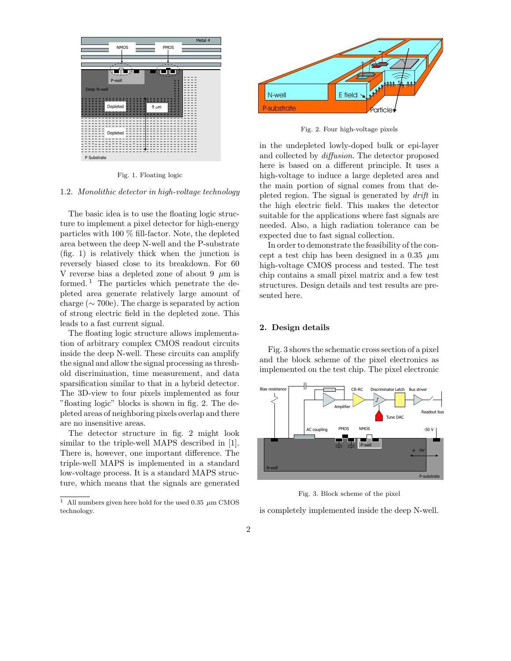

Fig. 1. Floating logic

# 1.2. Monolithic detector in high-voltage technology

The basic idea is to use the floating logic structure to implement a pixel detector for high-energy particles with 100 % fill-factor. Note, the depleted area between the deep N-well and the P-substrate (fig. 1) is relatively thick when the junction is reversely biased close to its breakdown. For 60 V reverse bias a depleted zone of about 9  $\mu$ m is formed.<sup>1</sup> The particles which penetrate the depleted area generate relatively large amount of charge ( $\sim$  700e). The charge is separated by action of strong electric field in the depleted zone. This leads to a fast current signal.

The floating logic structure allows implementation of arbitrary complex CMOS readout circuits inside the deep N-well. These circuits can amplify the signal and allow the signal processing asthreshold discrimination, time measurement, and data sparsification similar to that in a hybrid detector. The 3D-view to four pixels implemented as four "floating logic" blocks is shown in fig. 2. The depleted areas of neighboring pixels overlap and there are no insensitive areas.

The detector structure in fig. 2 might look similar to the triple-well MAPS described in [1]. There is, however, one important difference. The triple-well MAPS is implemented in a standard low-voltage process. It is a standard MAPS structure, which means that the signals are generated



Fig. 2. Four high-voltage pixels

in the undepleted lowly-doped bulk or epi-layer and collected by diffusion. The detector proposed here is based on a different principle. It uses a high-voltage to induce a large depleted area and the main portion of signal comes from that depleted region. The signal is generated by drift in the high electric field. This makes the detector suitable for the applications where fast signals are needed. Also, a high radiation tolerance can be expected due to fast signal collection.

In order to demonstrate the feasibility of the concept a test chip has been designed in a 0.35  $\mu$ m high-voltage CMOS process and tested. The test chip contains a small pixel matrix and a few test structures. Design details and test results are presented here.

#### 2. Design details

Fig. 3 shows the schematic cross section of a pixel and the block scheme of the pixel electronics as implemented on the test chip. The pixel electronic



Fig. 3. Block scheme of the pixel

is completely implemented inside the deep N-well.

<sup>&</sup>lt;sup>1</sup> All numbers given here hold for the used 0.35  $\mu$ m CMOS technology.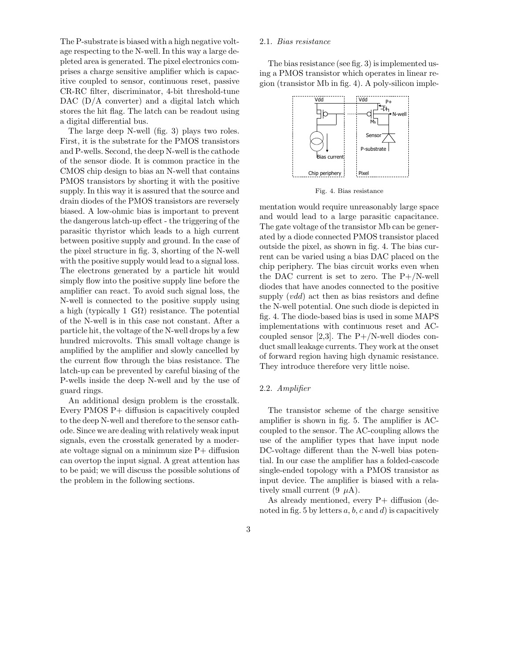The P-substrate is biased with a high negative voltage respecting to the N-well. In this way a large depleted area is generated. The pixel electronics comprises a charge sensitive amplifier which is capacitive coupled to sensor, continuous reset, passive CR-RC filter, discriminator, 4-bit threshold-tune DAC (D/A converter) and a digital latch which stores the hit flag. The latch can be readout using a digital differential bus.

The large deep N-well (fig. 3) plays two roles. First, it is the substrate for the PMOS transistors and P-wells. Second, the deep N-well is the cathode of the sensor diode. It is common practice in the CMOS chip design to bias an N-well that contains PMOS transistors by shorting it with the positive supply. In this way it is assured that the source and drain diodes of the PMOS transistors are reversely biased. A low-ohmic bias is important to prevent the dangerous latch-up effect - the triggering of the parasitic thyristor which leads to a high current between positive supply and ground. In the case of the pixel structure in fig. 3, shorting of the N-well with the positive supply would lead to a signal loss. The electrons generated by a particle hit would simply flow into the positive supply line before the amplifier can react. To avoid such signal loss, the N-well is connected to the positive supply using a high (typically 1  $G\Omega$ ) resistance. The potential of the N-well is in this case not constant. After a particle hit, the voltage of the N-well drops by a few hundred microvolts. This small voltage change is amplified by the amplifier and slowly cancelled by the current flow through the bias resistance. The latch-up can be prevented by careful biasing of the P-wells inside the deep N-well and by the use of guard rings.

An additional design problem is the crosstalk. Every PMOS P+ diffusion is capacitively coupled to the deep N-well and therefore to the sensor cathode. Since we are dealing with relatively weak input signals, even the crosstalk generated by a moderate voltage signal on a minimum size P+ diffusion can overtop the input signal. A great attention has to be paid; we will discuss the possible solutions of the problem in the following sections.

### 2.1. Bias resistance

The bias resistance (see fig. 3) is implemented using a PMOS transistor which operates in linear region (transistor Mb in fig. 4). A poly-silicon imple-



Fig. 4. Bias resistance

mentation would require unreasonably large space and would lead to a large parasitic capacitance. The gate voltage of the transistor Mb can be generated by a diode connected PMOS transistor placed outside the pixel, as shown in fig. 4. The bias current can be varied using a bias DAC placed on the chip periphery. The bias circuit works even when the DAC current is set to zero. The  $P+$ /N-well diodes that have anodes connected to the positive supply (vdd) act then as bias resistors and define the N-well potential. One such diode is depicted in fig. 4. The diode-based bias is used in some MAPS implementations with continuous reset and ACcoupled sensor [2,3]. The  $P+$ /N-well diodes conduct small leakage currents. They work at the onset of forward region having high dynamic resistance. They introduce therefore very little noise.

# 2.2. Amplifier

The transistor scheme of the charge sensitive amplifier is shown in fig. 5. The amplifier is ACcoupled to the sensor. The AC-coupling allows the use of the amplifier types that have input node DC-voltage different than the N-well bias potential. In our case the amplifier has a folded-cascode single-ended topology with a PMOS transistor as input device. The amplifier is biased with a relatively small current  $(9 \mu A)$ .

As already mentioned, every P+ diffusion (denoted in fig. 5 by letters  $a, b, c$  and  $d$ ) is capacitively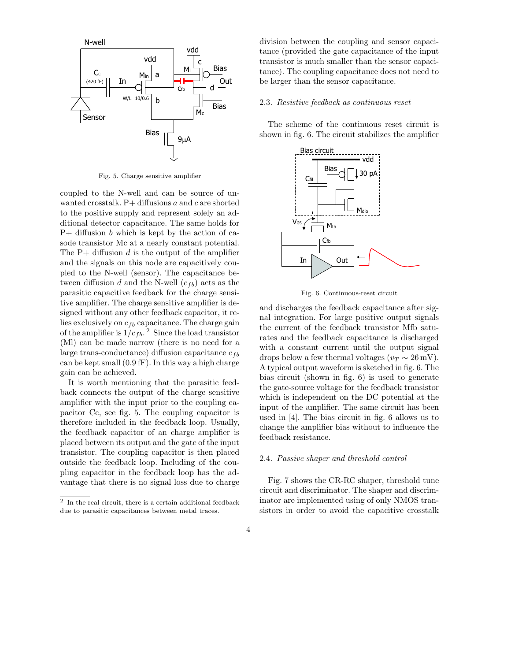

Fig. 5. Charge sensitive amplifier

coupled to the N-well and can be source of unwanted crosstalk.  $P+$  diffusions a and c are shorted to the positive supply and represent solely an additional detector capacitance. The same holds for  $P+$  diffusion  $b$  which is kept by the action of casode transistor Mc at a nearly constant potential. The  $P+$  diffusion d is the output of the amplifier and the signals on this node are capacitively coupled to the N-well (sensor). The capacitance between diffusion d and the N-well  $(c_{fb})$  acts as the parasitic capacitive feedback for the charge sensitive amplifier. The charge sensitive amplifier is designed without any other feedback capacitor, it relies exclusively on  $c_{fb}$  capacitance. The charge gain of the amplifier is  $1/c_{fb}$ .<sup>2</sup> Since the load transistor (Ml) can be made narrow (there is no need for a large trans-conductance) diffusion capacitance  $c_{fb}$ can be kept small (0.9 fF). In this way a high charge gain can be achieved.

It is worth mentioning that the parasitic feedback connects the output of the charge sensitive amplifier with the input prior to the coupling capacitor Cc, see fig. 5. The coupling capacitor is therefore included in the feedback loop. Usually, the feedback capacitor of an charge amplifier is placed between its output and the gate of the input transistor. The coupling capacitor is then placed outside the feedback loop. Including of the coupling capacitor in the feedback loop has the advantage that there is no signal loss due to charge

division between the coupling and sensor capacitance (provided the gate capacitance of the input transistor is much smaller than the sensor capacitance). The coupling capacitance does not need to be larger than the sensor capacitance.

# 2.3. Resistive feedback as continuous reset

The scheme of the continuous reset circuit is shown in fig. 6. The circuit stabilizes the amplifier



Fig. 6. Continuous-reset circuit

and discharges the feedback capacitance after signal integration. For large positive output signals the current of the feedback transistor Mfb saturates and the feedback capacitance is discharged with a constant current until the output signal drops below a few thermal voltages ( $v_T \sim 26 \text{ mV}$ ). A typical output waveform is sketched in fig. 6. The bias circuit (shown in fig. 6) is used to generate the gate-source voltage for the feedback transistor which is independent on the DC potential at the input of the amplifier. The same circuit has been used in [4]. The bias circuit in fig. 6 allows us to change the amplifier bias without to influence the feedback resistance.

### 2.4. Passive shaper and threshold control

Fig. 7 shows the CR-RC shaper, threshold tune circuit and discriminator. The shaper and discriminator are implemented using of only NMOS transistors in order to avoid the capacitive crosstalk

<sup>2</sup> In the real circuit, there is a certain additional feedback due to parasitic capacitances between metal traces.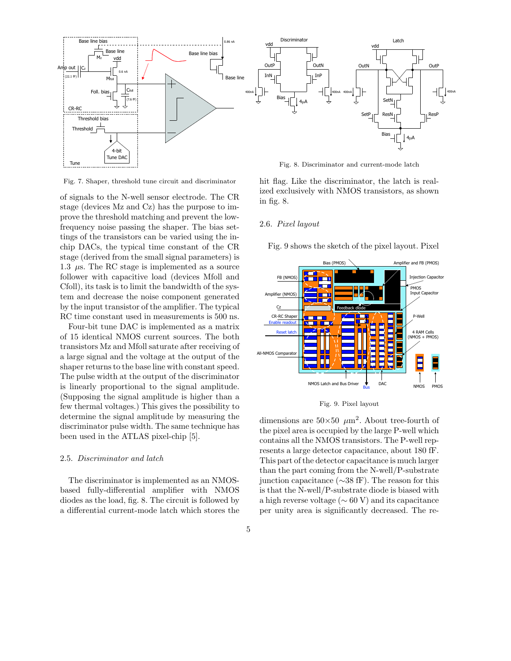

in fig. 8.

2.6. Pixel layout

Amplifier (NMOS)

FB (NMOS)

Reset late

Enable readout Cz

All-NMOS Compar

hit flag. Like the discriminator, the latch is realized exclusively with NMOS transistors, as shown

Fig. 9 shows the sketch of the pixel layout. Pixel

CR-RC Shaper<br>
Reset latch<br>
Reset latch<br>
Six Comparator<br>
CR-RC Shaper<br>
Reset latch<br>
P-Well P-Well P-Well P-Well P-Well P-Well P-Well P-Well<br>
P-Well P-Well P-Well P-Well P-Well P-Well P-Well<br>
P-Well P-Well P-Well P-Well P-We

Feedback diode

NMOS Latch and Bus Driver  $\blacktriangledown$  DAC

Fig. 9. Pixel layout dimensions are  $50\times50 \ \mu \text{m}^2$ . About tree-fourth of the pixel area is occupied by the large P-well which contains all the NMOS transistors. The P-well represents a large detector capacitance, about 180 fF. This part of the detector capacitance is much larger than the part coming from the N-well/P-substrate junction capacitance (∼38 fF). The reason for this is that the N-well/P-substrate diode is biased with a high reverse voltage ( $\sim 60 \text{ V}$ ) and its capacitance per unity area is significantly decreased. The re-

Bus

**The Contract** шинно

Bias (PMOS) Amplifier and FB (PMOS)

4 RAM Cells NMOS<sup>"</sup>

NMOS PMOS

Injection Capacitor

Input Capa

PMOS

Fig. 7. Shaper, threshold tune circuit and discriminator

of signals to the N-well sensor electrode. The CR stage (devices Mz and Cz) has the purpose to improve the threshold matching and prevent the lowfrequency noise passing the shaper. The bias settings of the transistors can be varied using the inchip DACs, the typical time constant of the CR stage (derived from the small signal parameters) is 1.3  $\mu$ s. The RC stage is implemented as a source follower with capacitive load (devices Mfoll and Cfoll), its task is to limit the bandwidth of the system and decrease the noise component generated by the input transistor of the amplifier. The typical RC time constant used in measurements is 500 ns.

Four-bit tune DAC is implemented as a matrix of 15 identical NMOS current sources. The both transistors Mz and Mfoll saturate after receiving of a large signal and the voltage at the output of the shaper returns to the base line with constant speed. The pulse width at the output of the discriminator is linearly proportional to the signal amplitude. (Supposing the signal amplitude is higher than a few thermal voltages.) This gives the possibility to determine the signal amplitude by measuring the discriminator pulse width. The same technique has been used in the ATLAS pixel-chip [5].

### 2.5. Discriminator and latch

The discriminator is implemented as an NMOSbased fully-differential amplifier with NMOS diodes as the load, fig. 8. The circuit is followed by a differential current-mode latch which stores the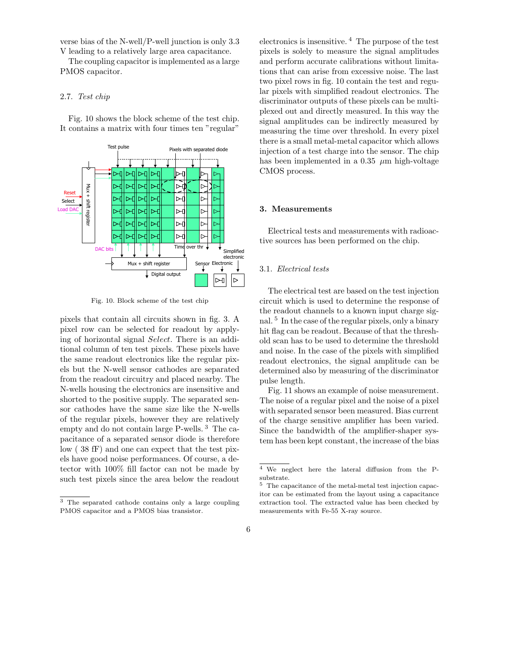verse bias of the N-well/P-well junction is only 3.3 V leading to a relatively large area capacitance.

The coupling capacitor is implemented as a large PMOS capacitor.

# 2.7. Test chip

Fig. 10 shows the block scheme of the test chip. It contains a matrix with four times ten "regular"



Fig. 10. Block scheme of the test chip

pixels that contain all circuits shown in fig. 3. A pixel row can be selected for readout by applying of horizontal signal Select. There is an additional column of ten test pixels. These pixels have the same readout electronics like the regular pixels but the N-well sensor cathodes are separated from the readout circuitry and placed nearby. The N-wells housing the electronics are insensitive and shorted to the positive supply. The separated sensor cathodes have the same size like the N-wells of the regular pixels, however they are relatively empty and do not contain large P-wells. <sup>3</sup> The capacitance of a separated sensor diode is therefore low ( 38 fF) and one can expect that the test pixels have good noise performances. Of course, a detector with 100% fill factor can not be made by such test pixels since the area below the readout

electronics is insensitive. <sup>4</sup> The purpose of the test pixels is solely to measure the signal amplitudes and perform accurate calibrations without limitations that can arise from excessive noise. The last two pixel rows in fig. 10 contain the test and regular pixels with simplified readout electronics. The discriminator outputs of these pixels can be multiplexed out and directly measured. In this way the signal amplitudes can be indirectly measured by measuring the time over threshold. In every pixel there is a small metal-metal capacitor which allows injection of a test charge into the sensor. The chip has been implemented in a 0.35  $\mu$ m high-voltage CMOS process.

#### 3. Measurements

Electrical tests and measurements with radioactive sources has been performed on the chip.

## 3.1. Electrical tests

6

The electrical test are based on the test injection circuit which is used to determine the response of the readout channels to a known input charge signal. <sup>5</sup> In the case of the regular pixels, only a binary hit flag can be readout. Because of that the threshold scan has to be used to determine the threshold and noise. In the case of the pixels with simplified readout electronics, the signal amplitude can be determined also by measuring of the discriminator pulse length.

Fig. 11 shows an example of noise measurement. The noise of a regular pixel and the noise of a pixel with separated sensor been measured. Bias current of the charge sensitive amplifier has been varied. Since the bandwidth of the amplifier-shaper system has been kept constant, the increase of the bias

<sup>3</sup> The separated cathode contains only a large coupling PMOS capacitor and a PMOS bias transistor.

<sup>4</sup> We neglect here the lateral diffusion from the Psubstrate.

The capacitance of the metal-metal test injection capacitor can be estimated from the layout using a capacitance extraction tool. The extracted value has been checked by measurements with Fe-55 X-ray source.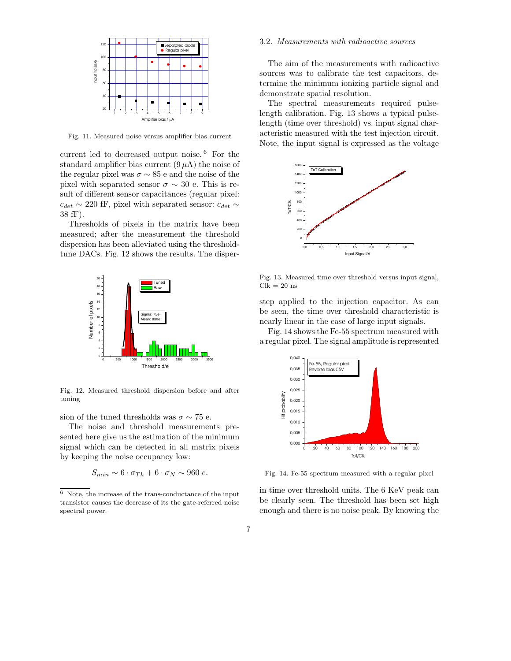

Fig. 11. Measured noise versus amplifier bias current

current led to decreased output noise. <sup>6</sup> For the standard amplifier bias current  $(9 \mu A)$  the noise of the regular pixel was  $\sigma \sim 85$  e and the noise of the pixel with separated sensor  $\sigma \sim 30$  e. This is result of different sensor capacitances (regular pixel:  $c_{det} \sim 220$  fF, pixel with separated sensor:  $c_{det} \sim$ 38 fF).

Thresholds of pixels in the matrix have been measured; after the measurement the threshold dispersion has been alleviated using the thresholdtune DACs. Fig. 12 shows the results. The disper-



Fig. 12. Measured threshold dispersion before and after tuning

sion of the tuned thresholds was  $\sigma \sim 75$  e.

The noise and threshold measurements presented here give us the estimation of the minimum signal which can be detected in all matrix pixels by keeping the noise occupancy low:

$$
S_{min} \sim 6 \cdot \sigma_{Th} + 6 \cdot \sigma_N \sim 960 e.
$$

## 3.2. Measurements with radioactive sources

The aim of the measurements with radioactive sources was to calibrate the test capacitors, determine the minimum ionizing particle signal and demonstrate spatial resolution.

The spectral measurements required pulselength calibration. Fig. 13 shows a typical pulselength (time over threshold) vs. input signal characteristic measured with the test injection circuit. Note, the input signal is expressed as the voltage



Fig. 13. Measured time over threshold versus input signal,  $Clk = 20$  ns

step applied to the injection capacitor. As can be seen, the time over threshold characteristic is nearly linear in the case of large input signals.

Fig. 14 shows the Fe-55 spectrum measured with a regular pixel. The signal amplitude is represented



Fig. 14. Fe-55 spectrum measured with a regular pixel

in time over threshold units. The 6 KeV peak can be clearly seen. The threshold has been set high enough and there is no noise peak. By knowing the

 $6$  Note, the increase of the trans-conductance of the input transistor causes the decrease of its the gate-referred noise spectral power.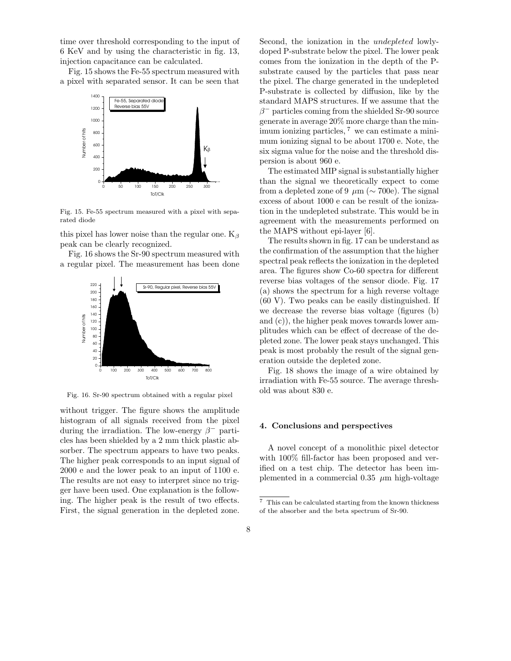time over threshold corresponding to the input of 6 KeV and by using the characteristic in fig. 13, injection capacitance can be calculated.

Fig. 15 shows the Fe-55 spectrum measured with a pixel with separated sensor. It can be seen that



Fig. 15. Fe-55 spectrum measured with a pixel with separated diode

this pixel has lower noise than the regular one.  $K_{\beta}$ peak can be clearly recognized.

Fig. 16 shows the Sr-90 spectrum measured with a regular pixel. The measurement has been done



Fig. 16. Sr-90 spectrum obtained with a regular pixel

without trigger. The figure shows the amplitude histogram of all signals received from the pixel during the irradiation. The low-energy  $\beta^-$  particles has been shielded by a 2 mm thick plastic absorber. The spectrum appears to have two peaks. The higher peak corresponds to an input signal of 2000 e and the lower peak to an input of 1100 e. The results are not easy to interpret since no trigger have been used. One explanation is the following. The higher peak is the result of two effects. First, the signal generation in the depleted zone.

Second, the ionization in the undepleted lowlydoped P-substrate below the pixel. The lower peak comes from the ionization in the depth of the Psubstrate caused by the particles that pass near the pixel. The charge generated in the undepleted P-substrate is collected by diffusion, like by the standard MAPS structures. If we assume that the  $\beta$ <sup>-</sup> particles coming from the shielded Sr-90 source generate in average 20% more charge than the minimum ionizing particles,  $\frac{7}{1}$  we can estimate a minimum ionizing signal to be about 1700 e. Note, the six sigma value for the noise and the threshold dispersion is about 960 e.

The estimated MIP signal is substantially higher than the signal we theoretically expect to come from a depleted zone of 9  $\mu$ m ( $\sim$  700e). The signal excess of about 1000 e can be result of the ionization in the undepleted substrate. This would be in agreement with the measurements performed on the MAPS without epi-layer [6].

The results shown in fig. 17 can be understand as the confirmation of the assumption that the higher spectral peak reflects the ionization in the depleted area. The figures show Co-60 spectra for different reverse bias voltages of the sensor diode. Fig. 17 (a) shows the spectrum for a high reverse voltage (60 V). Two peaks can be easily distinguished. If we decrease the reverse bias voltage (figures (b) and (c)), the higher peak moves towards lower amplitudes which can be effect of decrease of the depleted zone. The lower peak stays unchanged. This peak is most probably the result of the signal generation outside the depleted zone.

Fig. 18 shows the image of a wire obtained by irradiation with Fe-55 source. The average threshold was about 830 e.

# 4. Conclusions and perspectives

A novel concept of a monolithic pixel detector with 100% fill-factor has been proposed and verified on a test chip. The detector has been implemented in a commercial  $0.35 \mu$ m high-voltage

<sup>7</sup> This can be calculated starting from the known thickness of the absorber and the beta spectrum of Sr-90.